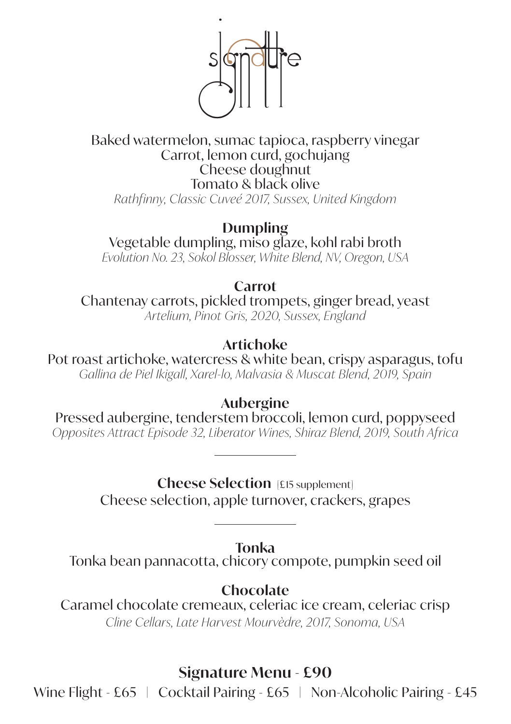

#### Baked watermelon, sumac tapioca, raspberry vinegar Carrot, lemon curd, gochujang Cheese doughnut Tomato & black olive *Rathfinny, Classic Cuveé 2017, Sussex, United Kingdom*

**Dumpling** Vegetable dumpling, miso glaze, kohl rabi broth *Evolution No. 23, Sokol Blosser, White Blend, NV, Oregon, USA*

**Carrot**

Chantenay carrots, pickled trompets, ginger bread, yeast *Artelium, Pinot Gris, 2020, Sussex, England*

## **Artichoke**

Pot roast artichoke, watercress & white bean, crispy asparagus, tofu *Gallina de Piel Ikigall, Xarel-lo, Malvasia & Muscat Blend, 2019, Spain* 

**Aubergine**

Pressed aubergine, tenderstem broccoli, lemon curd, poppyseed *Opposites Attract Episode 32, Liberator Wines, Shiraz Blend, 2019, South Africa*

**Cheese Selection** [£15 supplement]

Cheese selection, apple turnover, crackers, grapes

**Tonka**

Tonka bean pannacotta, chicory compote, pumpkin seed oil

**Chocolate**

Caramel chocolate cremeaux, celeriac ice cream, celeriac crisp *Cline Cellars, Late Harvest Mourvèdre, 2017, Sonoma, USA*

# **Signature Menu - £90**

Wine Flight - £65 | Cocktail Pairing - £65 | Non-Alcoholic Pairing - £45